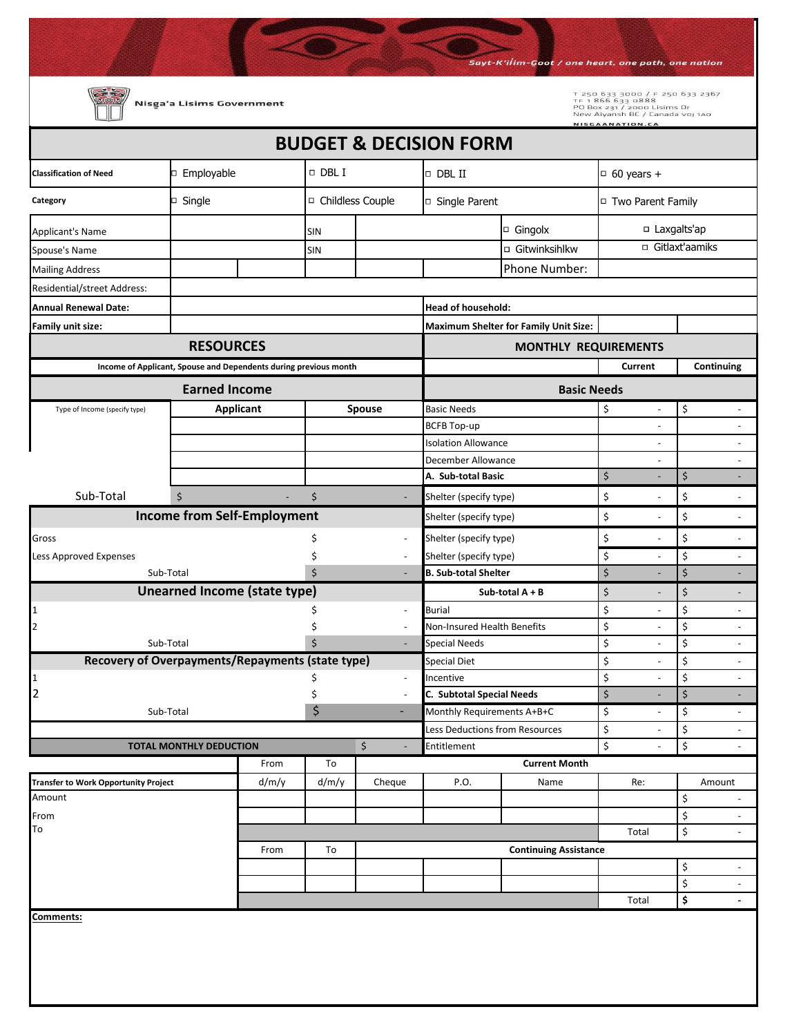Sayt-K'iİim-Goot / one heart, one path, one nation т 250 633 3000 / F 250 633 2367<br>тғ 1 866 633 0888<br>PO Box 231 / 2000 Lisims Dr<br>New Aiyansh BC / Canada voj 1A0 Nisga'a Lisims Government VISCAANATION.CA **BUDGET & DECISION FORM**  $\Box$  Employable  $\Box$  DBL I  $\Box$  DBL II  $\Box$  60 years + **Classification of Need Category**  Single Single Childless Couple arent Single Parent Turk of Two Parent Family □ Gingolx  $\Box$  Laxgalts'ap Applicant's Name SIN □ Gitwinksihlkw I □ Gitlaxt'aamiks Spouse's Name SIN Mailing Address **Phone Number:** Phone Number: Residential/street Address: **Annual Renewal Date: Head of household: Family unit size: Maximum Shelter for Family Unit Size: RESOURCES MONTHLY REQUIREMENTS Income of Applicant, Spouse and Dependents during previous month Current Continuing Earned Income and Earned Income and Earned Income and Earned Income in the Earned Income in the Basic Needs Applicant Spouse** Type of Income (specify type) Basic Needs  $\begin{array}{ccc} \bullet & \bullet & \bullet \\ \bullet & \bullet & \bullet \end{array}$ BCFB Top-up - -Isolation Allowance and the set of the set of the set of the set of the set of the set of the set of the set o December Allowance **Allowance Contract to the Contract of Allowance Contract of Allowance A. Sub-total Basic**  $\begin{array}{ccc} \mid & \zeta & \cdot & \cdot \\ \end{array}$  $\begin{array}{ccc} \vdots & \vdots & \vdots \\ \end{array}$ Sub-Total Shelter (specify type)  $\sharp$  $\uparrow$  $\begin{matrix} \xi & - \end{matrix}$   $\begin{matrix} \xi & - \end{matrix}$ **Income from Self-Employment** Shelter (specify type) \$ - \$ - Gross \$ - \$ - Shelter (specify type) \$ - Less Approved Expenses hot and the set of the set of the set of the set of the set of the set of the set of the set of the set of the set of the set of the set of the set of the set of the set of the set of the set of the Shelter (specify type) \$ - Sub-Total 5 - Sub-Total 5 - Sub-Total 5 - Sub-Total 5 - Sub-Total 5 - Sub-Total 5 - Sub-Total 5 - Sub-Total 5 - Sub-**B. Sub-total Shelter** \$ - \$ - **Unearned Income (state type) Sub-total A + B**  $\begin{matrix} \xi & -1 \end{matrix}$  is the set of  $\begin{matrix} \xi & -1 \end{matrix}$ 1  $\sim$  -  $\sim$  -  $\sim$  -  $\sim$  -Burial \$ - \$ - Non-Insured Health Benefits  $\begin{array}{ccc} | & \text{S} & - \\ \end{array}$ 2  $\uparrow$ Sub-Total \$ Special Needs  $\begin{array}{ccc} \vert & \zeta & \vert & \zeta & \vert \end{array}$ **Recovery of Overpayments/Repayments (state type)** Special Diet  $\begin{array}{ccc} \text{Special} & \text{Diet} & \text{S} & \text{S} & \text{S} & \text{S} & \text{S} & \text{S} & \text{S} & \text{S} & \text{S} & \text{S} & \text{S} & \text{S} & \text{S} & \text{S} & \text{S} & \text{S} & \text{S} & \text{S} & \text{S} & \text{S} & \text{S} & \text{S} & \text{S} & \text{S} & \text{S} & \text{S} & \text{S} & \text{S} & \text{S} & \text{S} & \text{S} & \$ 1  $\sim$  -Incentive  $\begin{array}{ccc} \mid & \updownarrow & \qquad & - \mid & \downarrow & \qquad & - \end{array}$ 2  $\frac{1}{2}$ **C. Subtotal Special Needs** \$ - \$ -  $Sub-Total$   $\begin{matrix} 5 \end{matrix}$ Monthly Requirements A+B+C \$ - \$ - Less Deductions from Resources  $\begin{array}{ccc} \vert & \zeta & \vert & \zeta & \vert \end{array}$ **TOTAL MONTHLY DEDUCTION**  $\zeta$  - Entitlement  $\zeta$  -  $\zeta$ From To **Current Month Transfer to Work Opportunity Project d/m/y d/m/y Cheque P.O. Name Re: Re: Amount** Amount \$ - From \$ - To the state of the state of the state of the state of the state of the state of the state of the state of the state of the state of the state of the state of the state of the state of the state of the state of the state o From To **Continuing Assistance** \$ -  $\zeta$ Total **\$ - Comments:**